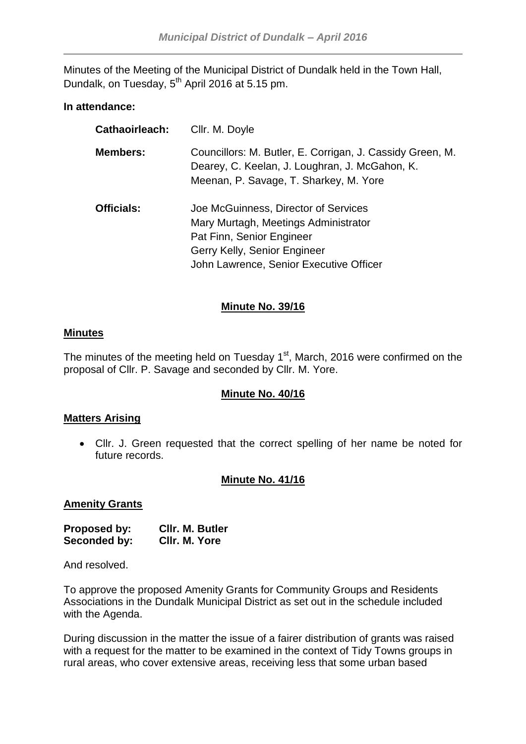Minutes of the Meeting of the Municipal District of Dundalk held in the Town Hall, Dundalk, on Tuesday, 5<sup>th</sup> April 2016 at 5.15 pm.

## **In attendance:**

| Cathaoirleach:    | Cllr. M. Doyle                                                                                                                                                                       |
|-------------------|--------------------------------------------------------------------------------------------------------------------------------------------------------------------------------------|
| <b>Members:</b>   | Councillors: M. Butler, E. Corrigan, J. Cassidy Green, M.<br>Dearey, C. Keelan, J. Loughran, J. McGahon, K.<br>Meenan, P. Savage, T. Sharkey, M. Yore                                |
| <b>Officials:</b> | Joe McGuinness, Director of Services<br>Mary Murtagh, Meetings Administrator<br>Pat Finn, Senior Engineer<br>Gerry Kelly, Senior Engineer<br>John Lawrence, Senior Executive Officer |

# **Minute No. 39/16**

## **Minutes**

The minutes of the meeting held on Tuesday  $1<sup>st</sup>$ , March, 2016 were confirmed on the proposal of Cllr. P. Savage and seconded by Cllr. M. Yore.

## **Minute No. 40/16**

## **Matters Arising**

 Cllr. J. Green requested that the correct spelling of her name be noted for future records.

## **Minute No. 41/16**

#### **Amenity Grants**

| <b>Proposed by:</b> | <b>CIIr. M. Butler</b> |
|---------------------|------------------------|
| Seconded by:        | CIIr. M. Yore          |

And resolved.

To approve the proposed Amenity Grants for Community Groups and Residents Associations in the Dundalk Municipal District as set out in the schedule included with the Agenda.

During discussion in the matter the issue of a fairer distribution of grants was raised with a request for the matter to be examined in the context of Tidy Towns groups in rural areas, who cover extensive areas, receiving less that some urban based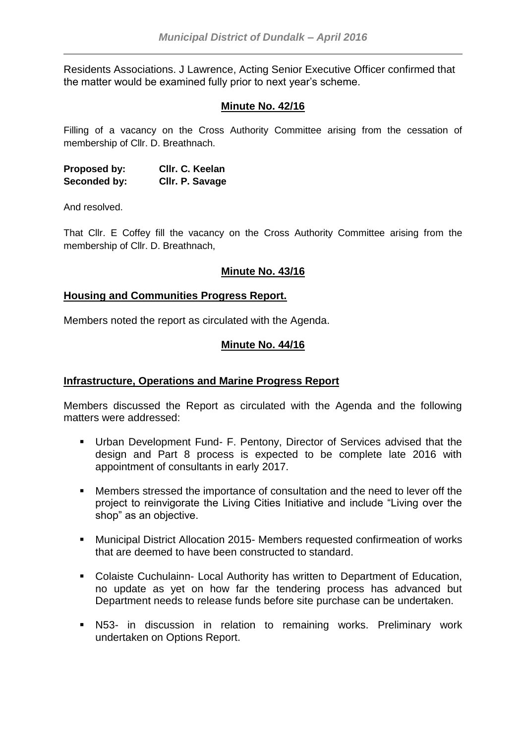Residents Associations. J Lawrence, Acting Senior Executive Officer confirmed that the matter would be examined fully prior to next year's scheme.

## **Minute No. 42/16**

Filling of a vacancy on the Cross Authority Committee arising from the cessation of membership of Cllr. D. Breathnach.

**Proposed by: Cllr. C. Keelan Seconded by: Cllr. P. Savage**

And resolved.

That Cllr. E Coffey fill the vacancy on the Cross Authority Committee arising from the membership of Cllr. D. Breathnach,

## **Minute No. 43/16**

#### **Housing and Communities Progress Report.**

Members noted the report as circulated with the Agenda.

#### **Minute No. 44/16**

#### **Infrastructure, Operations and Marine Progress Report**

Members discussed the Report as circulated with the Agenda and the following matters were addressed:

- Urban Development Fund- F. Pentony, Director of Services advised that the design and Part 8 process is expected to be complete late 2016 with appointment of consultants in early 2017.
- Members stressed the importance of consultation and the need to lever off the project to reinvigorate the Living Cities Initiative and include "Living over the shop" as an objective.
- Municipal District Allocation 2015- Members requested confirmeation of works that are deemed to have been constructed to standard.
- Colaiste Cuchulainn- Local Authority has written to Department of Education, no update as yet on how far the tendering process has advanced but Department needs to release funds before site purchase can be undertaken.
- N53- in discussion in relation to remaining works. Preliminary work undertaken on Options Report.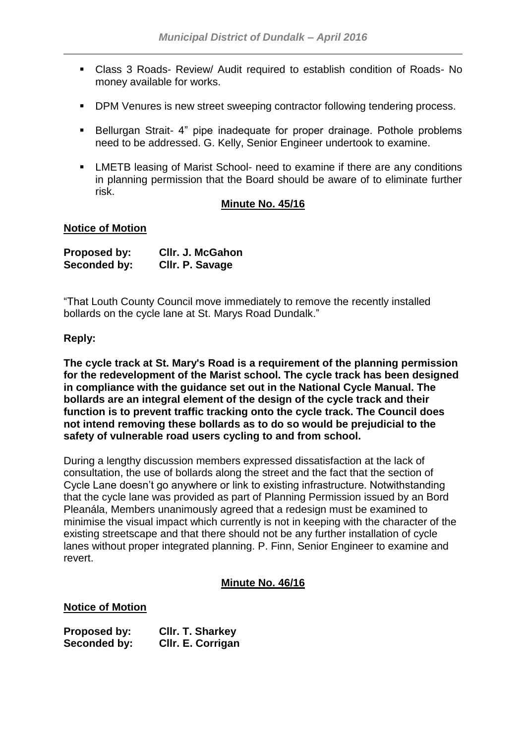- Class 3 Roads- Review/ Audit required to establish condition of Roads- No money available for works.
- **DPM Venures is new street sweeping contractor following tendering process.**
- **Bellurgan Strait-4**" pipe inadequate for proper drainage. Pothole problems need to be addressed. G. Kelly, Senior Engineer undertook to examine.
- **EXECT EXECTS** leasing of Marist School- need to examine if there are any conditions in planning permission that the Board should be aware of to eliminate further risk.

#### **Minute No. 45/16**

#### **Notice of Motion**

| <b>Proposed by:</b> | CIIr. J. McGahon |
|---------------------|------------------|
| Seconded by:        | Cllr. P. Savage  |

"That Louth County Council move immediately to remove the recently installed bollards on the cycle lane at St. Marys Road Dundalk."

#### **Reply:**

**The cycle track at St. Mary's Road is a requirement of the planning permission for the redevelopment of the Marist school. The cycle track has been designed in compliance with the guidance set out in the National Cycle Manual. The bollards are an integral element of the design of the cycle track and their function is to prevent traffic tracking onto the cycle track. The Council does not intend removing these bollards as to do so would be prejudicial to the safety of vulnerable road users cycling to and from school.** 

During a lengthy discussion members expressed dissatisfaction at the lack of consultation, the use of bollards along the street and the fact that the section of Cycle Lane doesn't go anywhere or link to existing infrastructure. Notwithstanding that the cycle lane was provided as part of Planning Permission issued by an Bord Pleanála, Members unanimously agreed that a redesign must be examined to minimise the visual impact which currently is not in keeping with the character of the existing streetscape and that there should not be any further installation of cycle lanes without proper integrated planning. P. Finn, Senior Engineer to examine and revert.

#### **Minute No. 46/16**

#### **Notice of Motion**

**Proposed by: Cllr. T. Sharkey Seconded by: Cllr. E. Corrigan**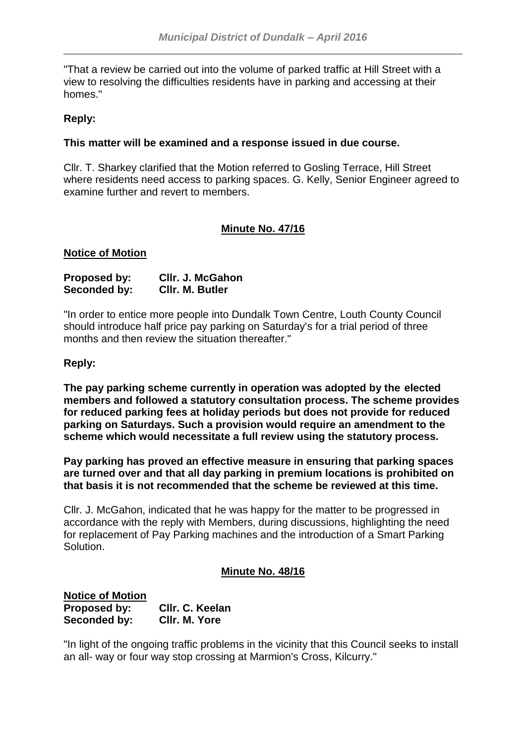"That a review be carried out into the volume of parked traffic at Hill Street with a view to resolving the difficulties residents have in parking and accessing at their homes."

# **Reply:**

## **This matter will be examined and a response issued in due course.**

Cllr. T. Sharkey clarified that the Motion referred to Gosling Terrace, Hill Street where residents need access to parking spaces. G. Kelly, Senior Engineer agreed to examine further and revert to members.

## **Minute No. 47/16**

#### **Notice of Motion**

| <b>Proposed by:</b> | CIIr. J. McGahon |
|---------------------|------------------|
| Seconded by:        | CIIr. M. Butler  |

"In order to entice more people into Dundalk Town Centre, Louth County Council should introduce half price pay parking on Saturday's for a trial period of three months and then review the situation thereafter."

## **Reply:**

**The pay parking scheme currently in operation was adopted by the elected members and followed a statutory consultation process. The scheme provides for reduced parking fees at holiday periods but does not provide for reduced parking on Saturdays. Such a provision would require an amendment to the scheme which would necessitate a full review using the statutory process.**

**Pay parking has proved an effective measure in ensuring that parking spaces are turned over and that all day parking in premium locations is prohibited on that basis it is not recommended that the scheme be reviewed at this time.**

Cllr. J. McGahon, indicated that he was happy for the matter to be progressed in accordance with the reply with Members, during discussions, highlighting the need for replacement of Pay Parking machines and the introduction of a Smart Parking Solution.

## **Minute No. 48/16**

**Notice of Motion Proposed by: Cllr. C. Keelan Seconded by: Cllr. M. Yore**

"In light of the ongoing traffic problems in the vicinity that this Council seeks to install an all- way or four way stop crossing at Marmion's Cross, Kilcurry."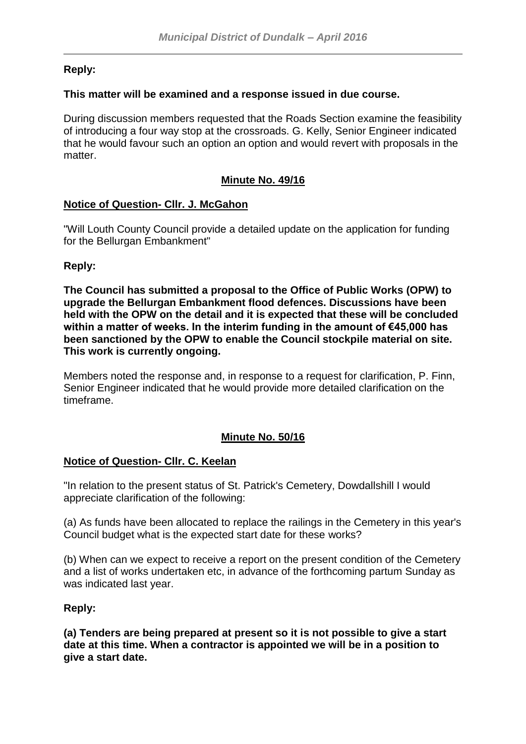# **Reply:**

## **This matter will be examined and a response issued in due course.**

During discussion members requested that the Roads Section examine the feasibility of introducing a four way stop at the crossroads. G. Kelly, Senior Engineer indicated that he would favour such an option an option and would revert with proposals in the matter.

# **Minute No. 49/16**

# **Notice of Question- Cllr. J. McGahon**

"Will Louth County Council provide a detailed update on the application for funding for the Bellurgan Embankment"

# **Reply:**

**The Council has submitted a proposal to the Office of Public Works (OPW) to upgrade the Bellurgan Embankment flood defences. Discussions have been held with the OPW on the detail and it is expected that these will be concluded within a matter of weeks. In the interim funding in the amount of €45,000 has been sanctioned by the OPW to enable the Council stockpile material on site. This work is currently ongoing.**

Members noted the response and, in response to a request for clarification, P. Finn, Senior Engineer indicated that he would provide more detailed clarification on the timeframe.

# **Minute No. 50/16**

## **Notice of Question- Cllr. C. Keelan**

"In relation to the present status of St. Patrick's Cemetery, Dowdallshill I would appreciate clarification of the following:

(a) As funds have been allocated to replace the railings in the Cemetery in this year's Council budget what is the expected start date for these works?

(b) When can we expect to receive a report on the present condition of the Cemetery and a list of works undertaken etc, in advance of the forthcoming partum Sunday as was indicated last year.

## **Reply:**

**(a) Tenders are being prepared at present so it is not possible to give a start date at this time. When a contractor is appointed we will be in a position to give a start date.**